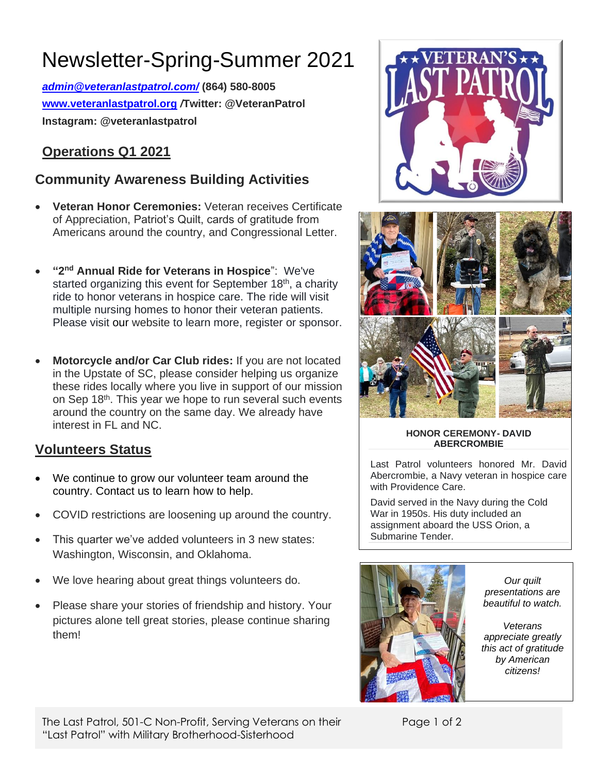# Newsletter-Spring-Summer 2021

*[admin@veteranlastpatrol.com/](mailto:admin@veteranlastpatrol.com/)* **(864) 580-8005 [www.veteranlastpatrol.org](http://www.veteranlastpatrol.org/)** */***Twitter: @VeteranPatrol Instagram: @veteranlastpatrol**

### **Operations Q1 2021**

### **Community Awareness Building Activities**

- **Veteran Honor Ceremonies:** Veteran receives Certificate of Appreciation, Patriot's Quilt, cards of gratitude from Americans around the country, and Congressional Letter.
- **"2 nd Annual Ride for Veterans in Hospice**": We've started organizing this event for September 18<sup>th</sup>, a charity ride to honor veterans in hospice care. The ride will visit multiple nursing homes to honor their veteran patients. Please visit [our](http://www.veteranlastpatrol.org/) website to learn more, register or sponsor.
- **Motorcycle and/or Car Club rides:** If you are not located in the Upstate of SC, please consider helping us organize these rides locally where you live in support of our mission on Sep 18th. This year we hope to run several such events around the country on the same day. We already have interest in FL and NC.

### **Volunteers Status**

- We continue to grow our volunteer team around the country. Contact us to learn how to help.
- COVID restrictions are loosening up around the country.
- This quarter we've added volunteers in 3 new states: Washington, Wisconsin, and Oklahoma.
- We love hearing about great things volunteers do.
- Please share your stories of friendship and history. Your pictures alone tell great stories, please continue sharing them!





#### **HONOR CEREMONY- DAVID ABERCROMBIE**

Last Patrol volunteers honored Mr. David Abercrombie, a Navy veteran in hospice care with Providence Care.

David served in the Navy during the Cold War in 1950s. His duty included an assignment aboard the USS Orion, a Submarine Tender.



*Our quilt presentations are beautiful to watch.* 

*Veterans appreciate greatly this act of gratitude by American citizens!*

Page 1 of 2